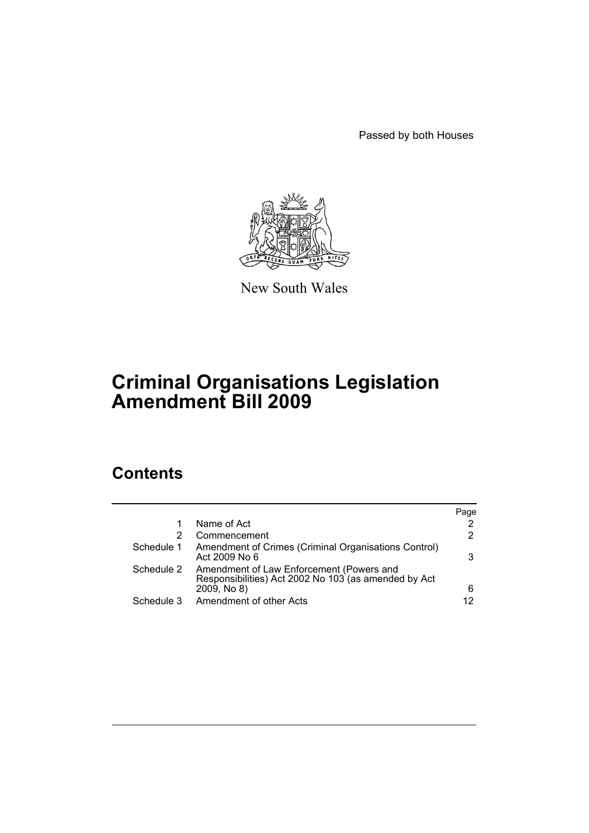Passed by both Houses



New South Wales

# **Criminal Organisations Legislation Amendment Bill 2009**

# **Contents**

|            |                                                                                                                 | Page |
|------------|-----------------------------------------------------------------------------------------------------------------|------|
|            | Name of Act                                                                                                     | 2    |
|            | Commencement                                                                                                    | 2    |
| Schedule 1 | Amendment of Crimes (Criminal Organisations Control)<br>Act 2009 No 6                                           | 3    |
| Schedule 2 | Amendment of Law Enforcement (Powers and<br>Responsibilities) Act 2002 No 103 (as amended by Act<br>2009, No 8) | 6    |
| Schedule 3 | Amendment of other Acts                                                                                         | 12   |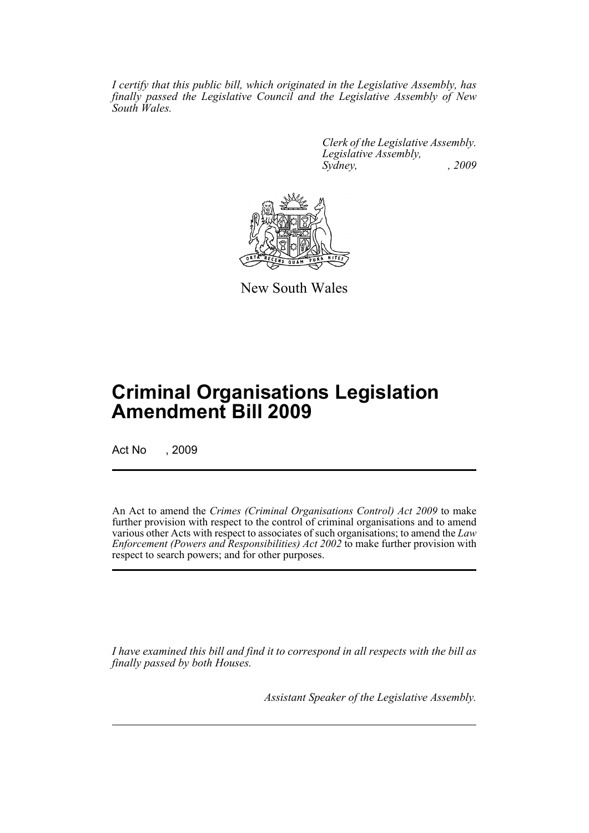*I certify that this public bill, which originated in the Legislative Assembly, has finally passed the Legislative Council and the Legislative Assembly of New South Wales.*

> *Clerk of the Legislative Assembly. Legislative Assembly, Sydney, , 2009*



New South Wales

# **Criminal Organisations Legislation Amendment Bill 2009**

Act No , 2009

An Act to amend the *Crimes (Criminal Organisations Control) Act 2009* to make further provision with respect to the control of criminal organisations and to amend various other Acts with respect to associates of such organisations; to amend the *Law Enforcement (Powers and Responsibilities) Act 2002* to make further provision with respect to search powers; and for other purposes.

*I have examined this bill and find it to correspond in all respects with the bill as finally passed by both Houses.*

*Assistant Speaker of the Legislative Assembly.*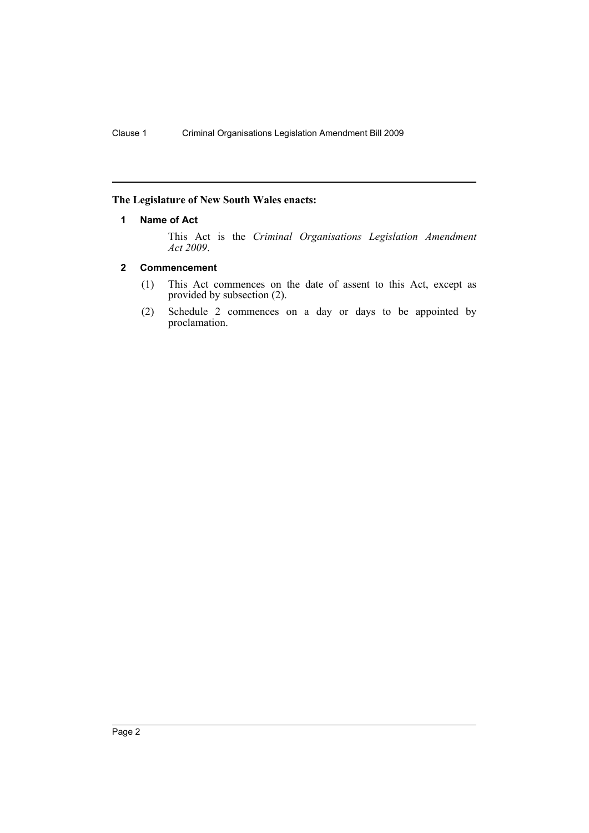## <span id="page-2-0"></span>**The Legislature of New South Wales enacts:**

## **1 Name of Act**

This Act is the *Criminal Organisations Legislation Amendment Act 2009*.

## <span id="page-2-1"></span>**2 Commencement**

- (1) This Act commences on the date of assent to this Act, except as provided by subsection (2).
- (2) Schedule 2 commences on a day or days to be appointed by proclamation.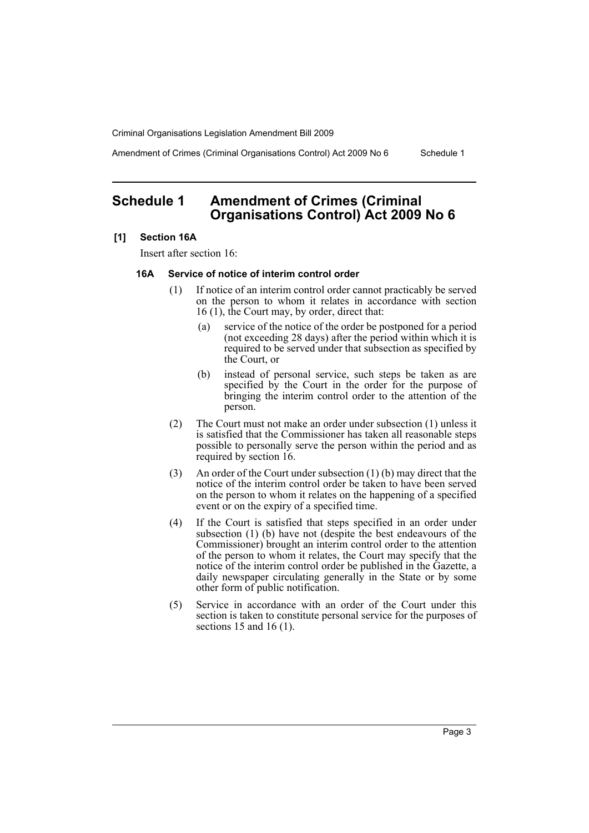Amendment of Crimes (Criminal Organisations Control) Act 2009 No 6 Schedule 1

# <span id="page-3-0"></span>**Schedule 1 Amendment of Crimes (Criminal Organisations Control) Act 2009 No 6**

## **[1] Section 16A**

Insert after section 16:

## **16A Service of notice of interim control order**

- (1) If notice of an interim control order cannot practicably be served on the person to whom it relates in accordance with section 16 (1), the Court may, by order, direct that:
	- (a) service of the notice of the order be postponed for a period (not exceeding 28 days) after the period within which it is required to be served under that subsection as specified by the Court, or
	- (b) instead of personal service, such steps be taken as are specified by the Court in the order for the purpose of bringing the interim control order to the attention of the person.
- (2) The Court must not make an order under subsection (1) unless it is satisfied that the Commissioner has taken all reasonable steps possible to personally serve the person within the period and as required by section 16.
- (3) An order of the Court under subsection (1) (b) may direct that the notice of the interim control order be taken to have been served on the person to whom it relates on the happening of a specified event or on the expiry of a specified time.
- (4) If the Court is satisfied that steps specified in an order under subsection (1) (b) have not (despite the best endeavours of the Commissioner) brought an interim control order to the attention of the person to whom it relates, the Court may specify that the notice of the interim control order be published in the Gazette, a daily newspaper circulating generally in the State or by some other form of public notification.
- (5) Service in accordance with an order of the Court under this section is taken to constitute personal service for the purposes of sections 15 and 16 (1).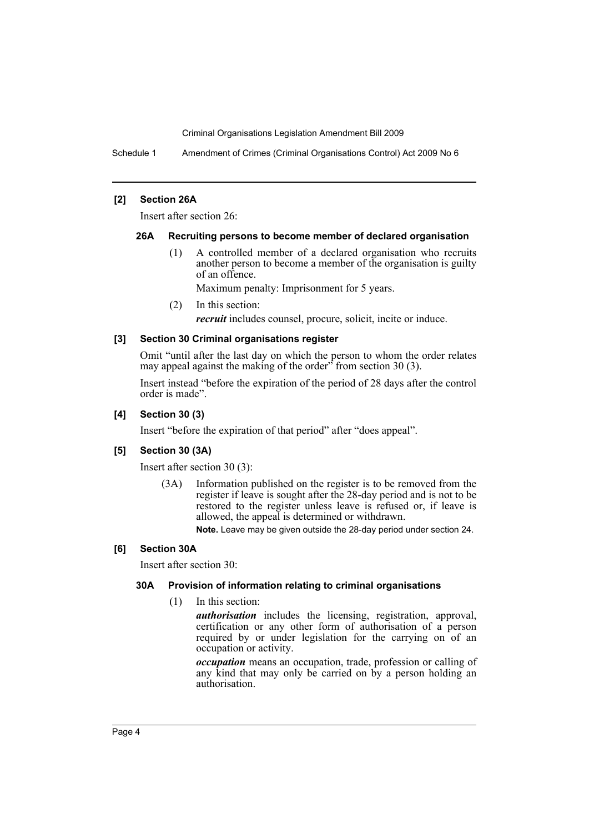Schedule 1 Amendment of Crimes (Criminal Organisations Control) Act 2009 No 6

## **[2] Section 26A**

Insert after section 26:

## **26A Recruiting persons to become member of declared organisation**

(1) A controlled member of a declared organisation who recruits another person to become a member of the organisation is guilty of an offence.

Maximum penalty: Imprisonment for 5 years.

(2) In this section:

*recruit* includes counsel, procure, solicit, incite or induce.

## **[3] Section 30 Criminal organisations register**

Omit "until after the last day on which the person to whom the order relates may appeal against the making of the order<sup>3</sup> from section 30 (3).

Insert instead "before the expiration of the period of 28 days after the control order is made".

## **[4] Section 30 (3)**

Insert "before the expiration of that period" after "does appeal".

## **[5] Section 30 (3A)**

Insert after section 30 (3):

(3A) Information published on the register is to be removed from the register if leave is sought after the 28-day period and is not to be restored to the register unless leave is refused or, if leave is allowed, the appeal is determined or withdrawn.

**Note.** Leave may be given outside the 28-day period under section 24.

## **[6] Section 30A**

Insert after section 30:

## **30A Provision of information relating to criminal organisations**

(1) In this section:

*authorisation* includes the licensing, registration, approval, certification or any other form of authorisation of a person required by or under legislation for the carrying on of an occupation or activity.

*occupation* means an occupation, trade, profession or calling of any kind that may only be carried on by a person holding an authorisation.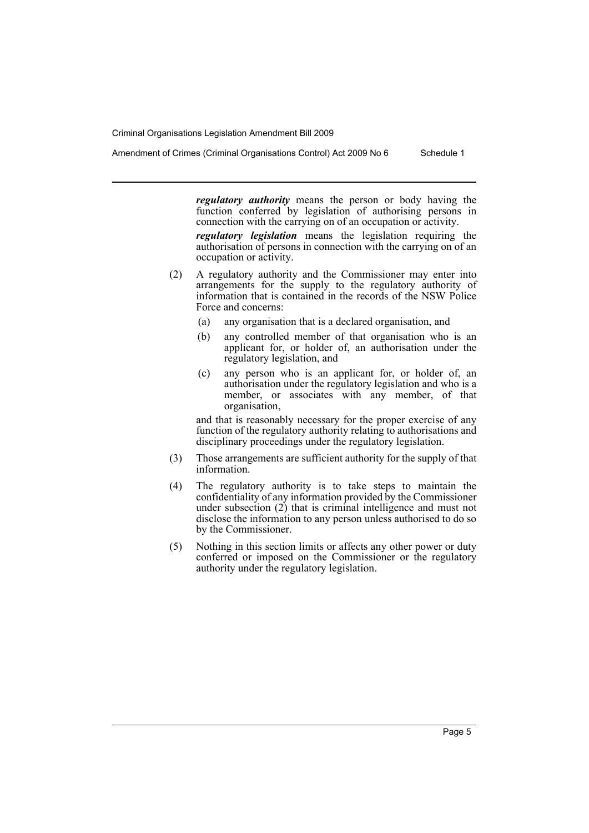Amendment of Crimes (Criminal Organisations Control) Act 2009 No 6 Schedule 1

*regulatory authority* means the person or body having the function conferred by legislation of authorising persons in connection with the carrying on of an occupation or activity.

*regulatory legislation* means the legislation requiring the authorisation of persons in connection with the carrying on of an occupation or activity.

- (2) A regulatory authority and the Commissioner may enter into arrangements for the supply to the regulatory authority of information that is contained in the records of the NSW Police Force and concerns:
	- (a) any organisation that is a declared organisation, and
	- (b) any controlled member of that organisation who is an applicant for, or holder of, an authorisation under the regulatory legislation, and
	- (c) any person who is an applicant for, or holder of, an authorisation under the regulatory legislation and who is a member, or associates with any member, of that organisation,

and that is reasonably necessary for the proper exercise of any function of the regulatory authority relating to authorisations and disciplinary proceedings under the regulatory legislation.

- (3) Those arrangements are sufficient authority for the supply of that information.
- (4) The regulatory authority is to take steps to maintain the confidentiality of any information provided by the Commissioner under subsection (2) that is criminal intelligence and must not disclose the information to any person unless authorised to do so by the Commissioner.
- (5) Nothing in this section limits or affects any other power or duty conferred or imposed on the Commissioner or the regulatory authority under the regulatory legislation.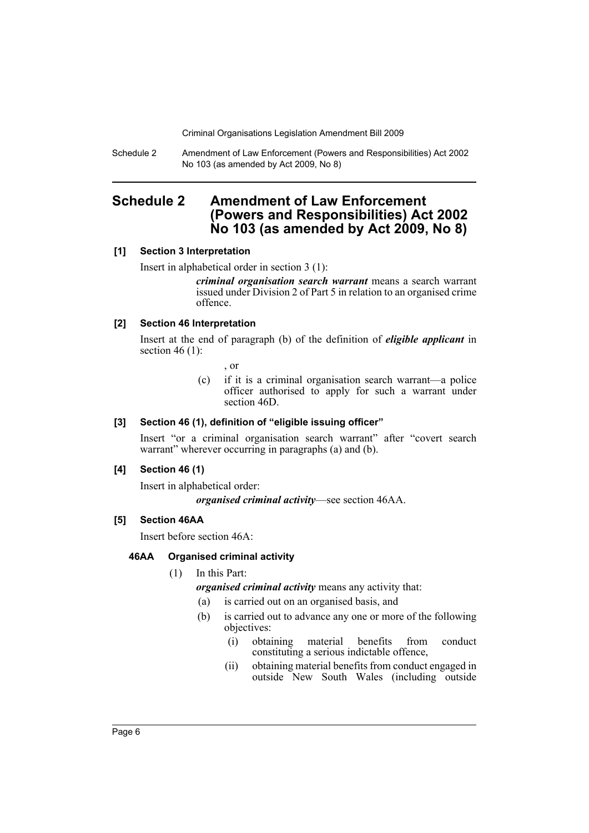Schedule 2 Amendment of Law Enforcement (Powers and Responsibilities) Act 2002 No 103 (as amended by Act 2009, No 8)

# <span id="page-6-0"></span>**Schedule 2 Amendment of Law Enforcement (Powers and Responsibilities) Act 2002 No 103 (as amended by Act 2009, No 8)**

## **[1] Section 3 Interpretation**

Insert in alphabetical order in section 3 (1):

*criminal organisation search warrant* means a search warrant issued under Division 2 of Part 5 in relation to an organised crime offence.

## **[2] Section 46 Interpretation**

Insert at the end of paragraph (b) of the definition of *eligible applicant* in section 46 $(1)$ :

, or

(c) if it is a criminal organisation search warrant—a police officer authorised to apply for such a warrant under section 46D.

## **[3] Section 46 (1), definition of "eligible issuing officer"**

Insert "or a criminal organisation search warrant" after "covert search warrant" wherever occurring in paragraphs (a) and (b).

## **[4] Section 46 (1)**

Insert in alphabetical order:

*organised criminal activity*—see section 46AA.

## **[5] Section 46AA**

Insert before section 46A:

## **46AA Organised criminal activity**

(1) In this Part:

## *organised criminal activity* means any activity that:

- (a) is carried out on an organised basis, and
- (b) is carried out to advance any one or more of the following objectives:
	- (i) obtaining material benefits from conduct constituting a serious indictable offence,
	- (ii) obtaining material benefits from conduct engaged in outside New South Wales (including outside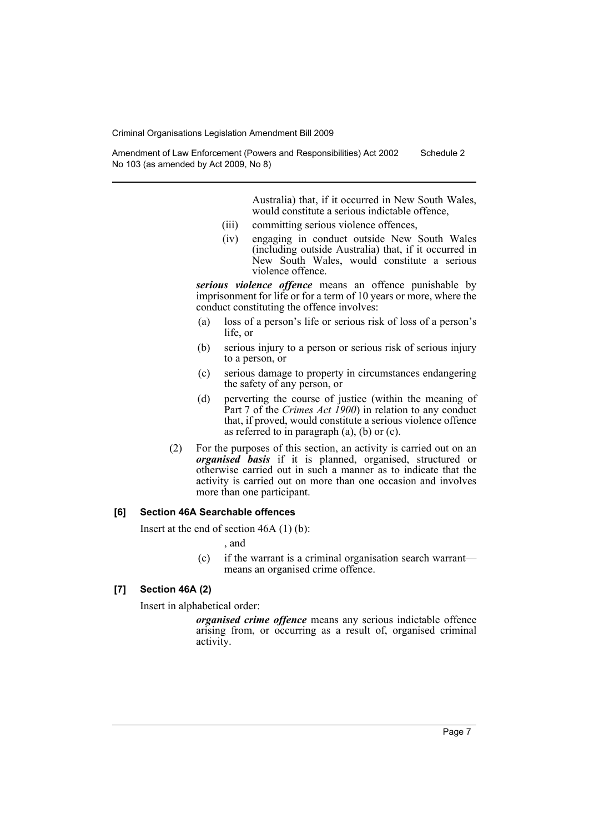Amendment of Law Enforcement (Powers and Responsibilities) Act 2002 No 103 (as amended by Act 2009, No 8) Schedule 2

> Australia) that, if it occurred in New South Wales, would constitute a serious indictable offence,

- (iii) committing serious violence offences,
- (iv) engaging in conduct outside New South Wales (including outside Australia) that, if it occurred in New South Wales, would constitute a serious violence offence.

*serious violence offence* means an offence punishable by imprisonment for life or for a term of 10 years or more, where the conduct constituting the offence involves:

- (a) loss of a person's life or serious risk of loss of a person's life, or
- (b) serious injury to a person or serious risk of serious injury to a person, or
- (c) serious damage to property in circumstances endangering the safety of any person, or
- (d) perverting the course of justice (within the meaning of Part 7 of the *Crimes Act 1900*) in relation to any conduct that, if proved, would constitute a serious violence offence as referred to in paragraph  $(a)$ ,  $(b)$  or  $(c)$ .
- (2) For the purposes of this section, an activity is carried out on an *organised basis* if it is planned, organised, structured or otherwise carried out in such a manner as to indicate that the activity is carried out on more than one occasion and involves more than one participant.

#### **[6] Section 46A Searchable offences**

Insert at the end of section 46A (1) (b):

, and

(c) if the warrant is a criminal organisation search warrant means an organised crime offence.

## **[7] Section 46A (2)**

Insert in alphabetical order:

*organised crime offence* means any serious indictable offence arising from, or occurring as a result of, organised criminal activity.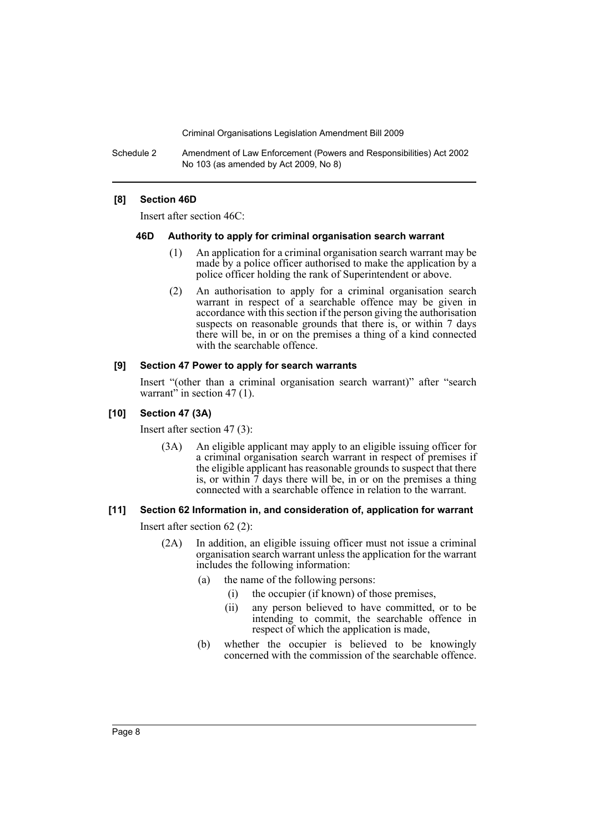Schedule 2 Amendment of Law Enforcement (Powers and Responsibilities) Act 2002 No 103 (as amended by Act 2009, No 8)

## **[8] Section 46D**

Insert after section 46C:

#### **46D Authority to apply for criminal organisation search warrant**

- (1) An application for a criminal organisation search warrant may be made by a police officer authorised to make the application by a police officer holding the rank of Superintendent or above.
- (2) An authorisation to apply for a criminal organisation search warrant in respect of a searchable offence may be given in accordance with this section if the person giving the authorisation suspects on reasonable grounds that there is, or within 7 days there will be, in or on the premises a thing of a kind connected with the searchable offence.

#### **[9] Section 47 Power to apply for search warrants**

Insert "(other than a criminal organisation search warrant)" after "search warrant" in section 47  $(1)$ .

## **[10] Section 47 (3A)**

Insert after section 47 (3):

(3A) An eligible applicant may apply to an eligible issuing officer for a criminal organisation search warrant in respect of premises if the eligible applicant has reasonable grounds to suspect that there is, or within  $\tilde{7}$  days there will be, in or on the premises a thing connected with a searchable offence in relation to the warrant.

## **[11] Section 62 Information in, and consideration of, application for warrant**

Insert after section 62 (2):

- (2A) In addition, an eligible issuing officer must not issue a criminal organisation search warrant unless the application for the warrant includes the following information:
	- (a) the name of the following persons:
		- (i) the occupier (if known) of those premises,
		- (ii) any person believed to have committed, or to be intending to commit, the searchable offence in respect of which the application is made,
	- (b) whether the occupier is believed to be knowingly concerned with the commission of the searchable offence.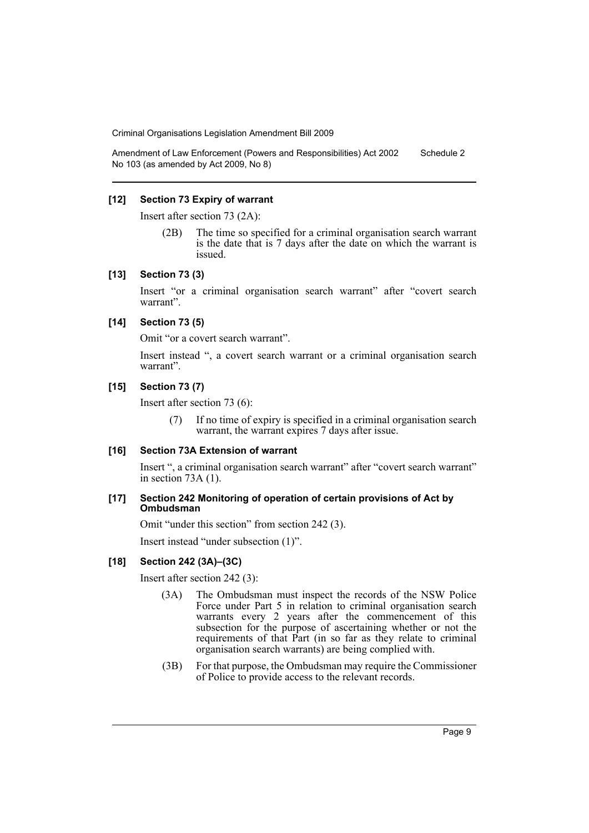Amendment of Law Enforcement (Powers and Responsibilities) Act 2002 No 103 (as amended by Act 2009, No 8) Schedule 2

## **[12] Section 73 Expiry of warrant**

Insert after section 73 (2A):

(2B) The time so specified for a criminal organisation search warrant is the date that is 7 days after the date on which the warrant is issued.

## **[13] Section 73 (3)**

Insert "or a criminal organisation search warrant" after "covert search warrant".

## **[14] Section 73 (5)**

Omit "or a covert search warrant".

Insert instead ", a covert search warrant or a criminal organisation search warrant".

## **[15] Section 73 (7)**

Insert after section 73 (6):

(7) If no time of expiry is specified in a criminal organisation search warrant, the warrant expires 7 days after issue.

## **[16] Section 73A Extension of warrant**

Insert ", a criminal organisation search warrant" after "covert search warrant" in section 73A (1).

#### **[17] Section 242 Monitoring of operation of certain provisions of Act by Ombudsman**

Omit "under this section" from section 242 (3).

Insert instead "under subsection (1)".

## **[18] Section 242 (3A)–(3C)**

Insert after section 242 (3):

- (3A) The Ombudsman must inspect the records of the NSW Police Force under Part 5 in relation to criminal organisation search warrants every 2 years after the commencement of this subsection for the purpose of ascertaining whether or not the requirements of that Part (in so far as they relate to criminal organisation search warrants) are being complied with.
- (3B) For that purpose, the Ombudsman may require the Commissioner of Police to provide access to the relevant records.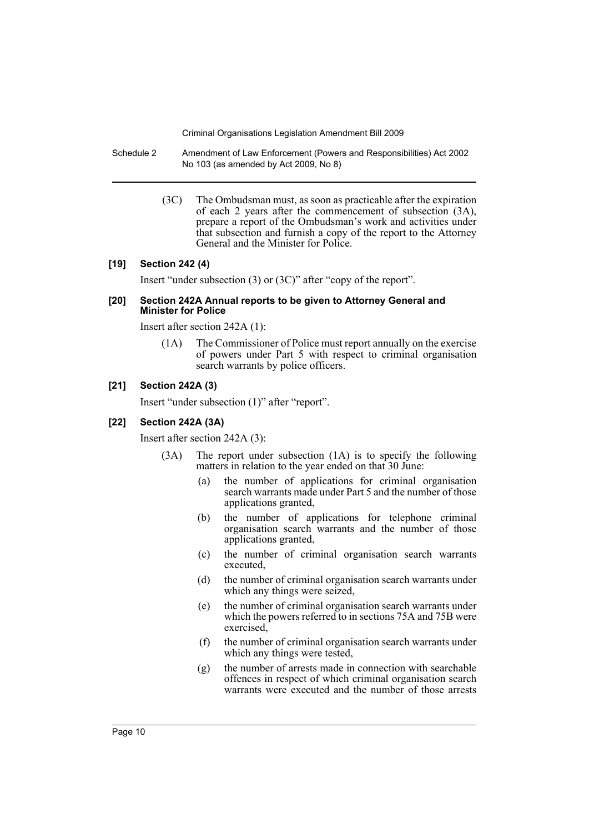- Schedule 2 Amendment of Law Enforcement (Powers and Responsibilities) Act 2002 No 103 (as amended by Act 2009, No 8)
	- (3C) The Ombudsman must, as soon as practicable after the expiration of each 2 years after the commencement of subsection (3A), prepare a report of the Ombudsman's work and activities under that subsection and furnish a copy of the report to the Attorney General and the Minister for Police.

#### **[19] Section 242 (4)**

Insert "under subsection (3) or (3C)" after "copy of the report".

#### **[20] Section 242A Annual reports to be given to Attorney General and Minister for Police**

Insert after section 242A (1):

(1A) The Commissioner of Police must report annually on the exercise of powers under Part 5 with respect to criminal organisation search warrants by police officers.

## **[21] Section 242A (3)**

Insert "under subsection (1)" after "report".

## **[22] Section 242A (3A)**

Insert after section 242A (3):

- (3A) The report under subsection (1A) is to specify the following matters in relation to the year ended on that 30 June:
	- (a) the number of applications for criminal organisation search warrants made under Part 5 and the number of those applications granted,
	- (b) the number of applications for telephone criminal organisation search warrants and the number of those applications granted,
	- (c) the number of criminal organisation search warrants executed,
	- (d) the number of criminal organisation search warrants under which any things were seized.
	- (e) the number of criminal organisation search warrants under which the powers referred to in sections 75A and 75B were exercised,
	- (f) the number of criminal organisation search warrants under which any things were tested,
	- (g) the number of arrests made in connection with searchable offences in respect of which criminal organisation search warrants were executed and the number of those arrests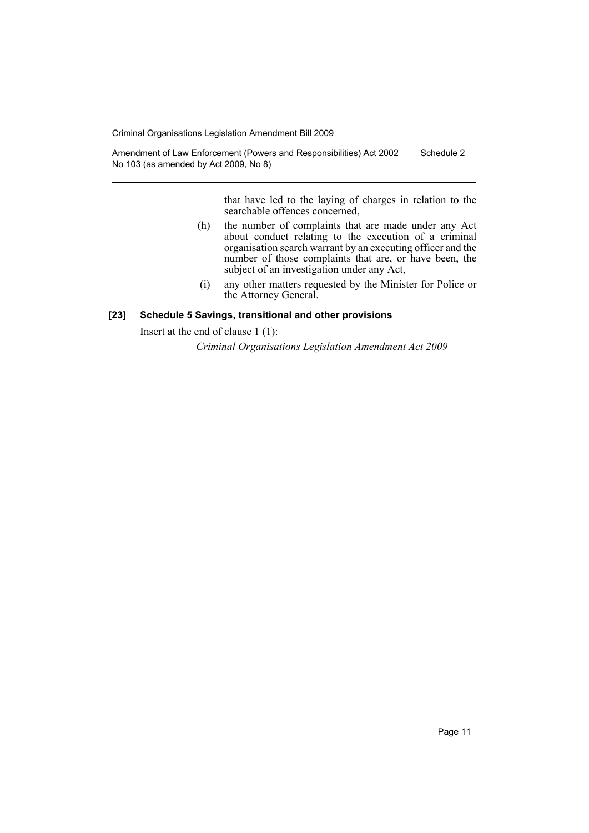Amendment of Law Enforcement (Powers and Responsibilities) Act 2002 No 103 (as amended by Act 2009, No 8) Schedule 2

> that have led to the laying of charges in relation to the searchable offences concerned,

- (h) the number of complaints that are made under any Act about conduct relating to the execution of a criminal organisation search warrant by an executing officer and the number of those complaints that are, or have been, the subject of an investigation under any Act,
- (i) any other matters requested by the Minister for Police or the Attorney General.

## **[23] Schedule 5 Savings, transitional and other provisions**

Insert at the end of clause 1 (1):

*Criminal Organisations Legislation Amendment Act 2009*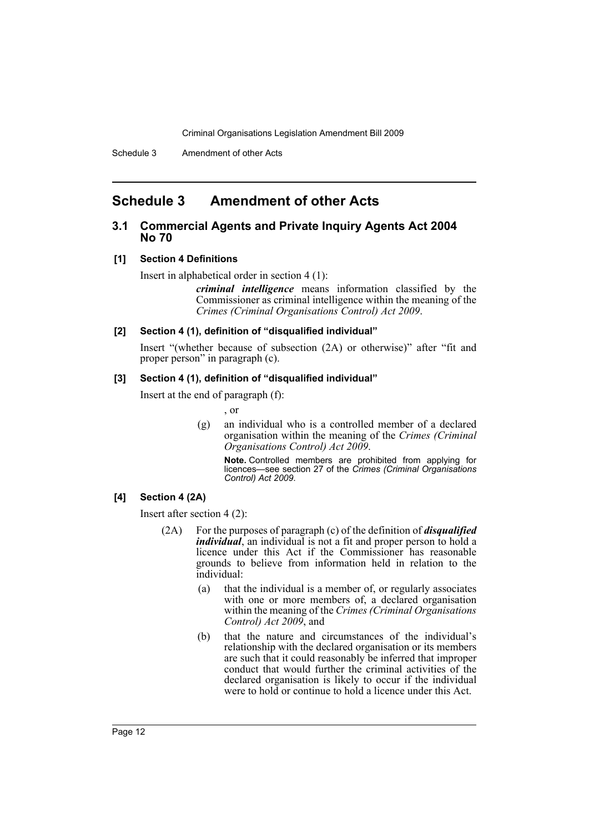# <span id="page-12-0"></span>**Schedule 3 Amendment of other Acts**

## **3.1 Commercial Agents and Private Inquiry Agents Act 2004 No 70**

## **[1] Section 4 Definitions**

Insert in alphabetical order in section 4 (1):

*criminal intelligence* means information classified by the Commissioner as criminal intelligence within the meaning of the *Crimes (Criminal Organisations Control) Act 2009*.

## **[2] Section 4 (1), definition of "disqualified individual"**

Insert "(whether because of subsection (2A) or otherwise)" after "fit and proper person" in paragraph (c).

#### **[3] Section 4 (1), definition of "disqualified individual"**

Insert at the end of paragraph (f):

, or

(g) an individual who is a controlled member of a declared organisation within the meaning of the *Crimes (Criminal Organisations Control) Act 2009*.

**Note.** Controlled members are prohibited from applying for licences—see section 27 of the *Crimes (Criminal Organisations Control) Act 2009*.

## **[4] Section 4 (2A)**

Insert after section 4 (2):

- (2A) For the purposes of paragraph (c) of the definition of *disqualified individual*, an individual is not a fit and proper person to hold a licence under this Act if the Commissioner has reasonable grounds to believe from information held in relation to the individual:
	- (a) that the individual is a member of, or regularly associates with one or more members of, a declared organisation within the meaning of the *Crimes (Criminal Organisations Control) Act 2009*, and
	- (b) that the nature and circumstances of the individual's relationship with the declared organisation or its members are such that it could reasonably be inferred that improper conduct that would further the criminal activities of the declared organisation is likely to occur if the individual were to hold or continue to hold a licence under this Act.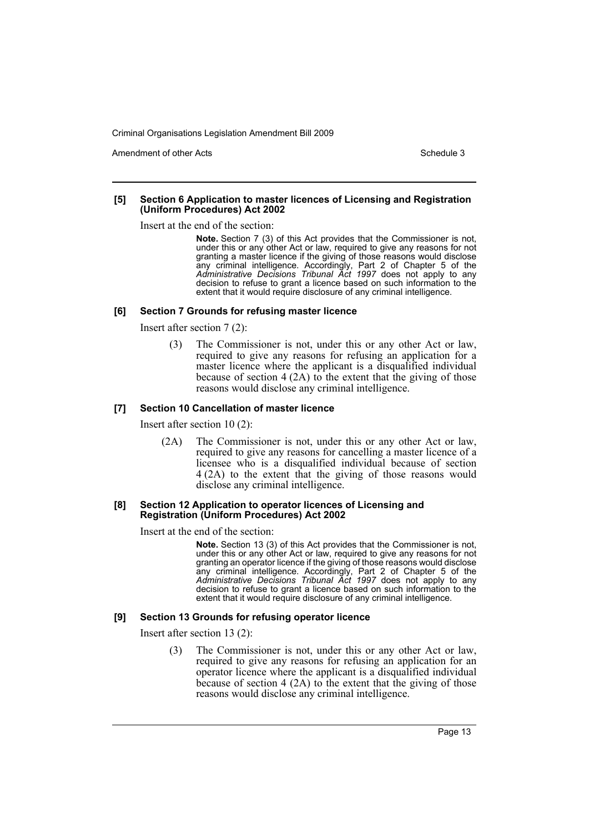Amendment of other Acts **Schedule 3** and the 3 schedule 3

#### **[5] Section 6 Application to master licences of Licensing and Registration (Uniform Procedures) Act 2002**

Insert at the end of the section:

**Note.** Section 7 (3) of this Act provides that the Commissioner is not, under this or any other Act or law, required to give any reasons for not granting a master licence if the giving of those reasons would disclose any criminal intelligence. Accordingly, Part 2 of Chapter 5 of the *Administrative Decisions Tribunal Act 1997* does not apply to any decision to refuse to grant a licence based on such information to the extent that it would require disclosure of any criminal intelligence.

#### **[6] Section 7 Grounds for refusing master licence**

Insert after section 7 (2):

(3) The Commissioner is not, under this or any other Act or law, required to give any reasons for refusing an application for a master licence where the applicant is a disqualified individual because of section  $4(2A)$  to the extent that the giving of those reasons would disclose any criminal intelligence.

## **[7] Section 10 Cancellation of master licence**

Insert after section 10 (2):

(2A) The Commissioner is not, under this or any other Act or law, required to give any reasons for cancelling a master licence of a licensee who is a disqualified individual because of section 4 (2A) to the extent that the giving of those reasons would disclose any criminal intelligence.

#### **[8] Section 12 Application to operator licences of Licensing and Registration (Uniform Procedures) Act 2002**

Insert at the end of the section:

**Note.** Section 13 (3) of this Act provides that the Commissioner is not, under this or any other Act or law, required to give any reasons for not granting an operator licence if the giving of those reasons would disclose any criminal intelligence. Accordingly, Part 2 of Chapter 5 of the *Administrative Decisions Tribunal Act 1997* does not apply to any decision to refuse to grant a licence based on such information to the extent that it would require disclosure of any criminal intelligence.

## **[9] Section 13 Grounds for refusing operator licence**

Insert after section 13 (2):

(3) The Commissioner is not, under this or any other Act or law, required to give any reasons for refusing an application for an operator licence where the applicant is a disqualified individual because of section 4 (2A) to the extent that the giving of those reasons would disclose any criminal intelligence.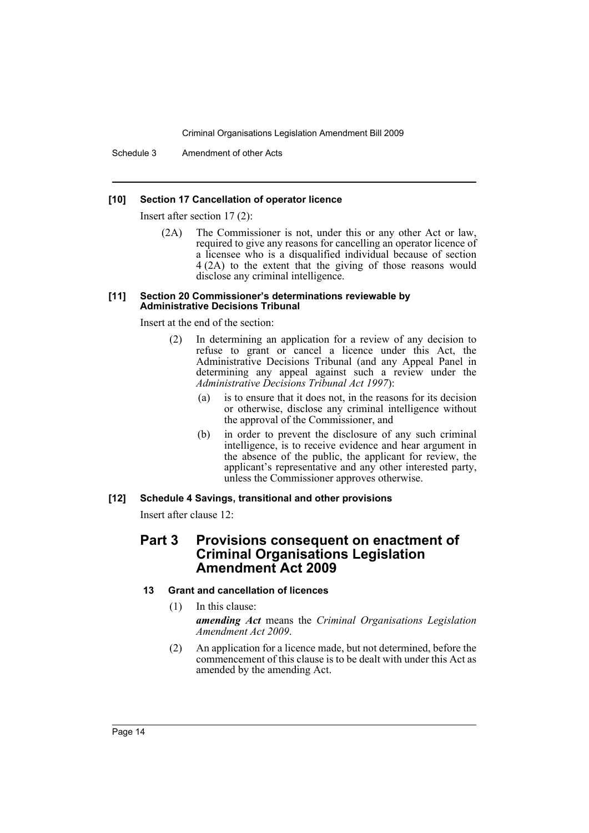Schedule 3 Amendment of other Acts

## **[10] Section 17 Cancellation of operator licence**

Insert after section 17 (2):

(2A) The Commissioner is not, under this or any other Act or law, required to give any reasons for cancelling an operator licence of a licensee who is a disqualified individual because of section 4 (2A) to the extent that the giving of those reasons would disclose any criminal intelligence.

#### **[11] Section 20 Commissioner's determinations reviewable by Administrative Decisions Tribunal**

Insert at the end of the section:

- (2) In determining an application for a review of any decision to refuse to grant or cancel a licence under this Act, the Administrative Decisions Tribunal (and any Appeal Panel in determining any appeal against such a review under the *Administrative Decisions Tribunal Act 1997*):
	- (a) is to ensure that it does not, in the reasons for its decision or otherwise, disclose any criminal intelligence without the approval of the Commissioner, and
	- (b) in order to prevent the disclosure of any such criminal intelligence, is to receive evidence and hear argument in the absence of the public, the applicant for review, the applicant's representative and any other interested party, unless the Commissioner approves otherwise.

## **[12] Schedule 4 Savings, transitional and other provisions**

Insert after clause 12:

## **Part 3 Provisions consequent on enactment of Criminal Organisations Legislation Amendment Act 2009**

## **13 Grant and cancellation of licences**

- (1) In this clause: *amending Act* means the *Criminal Organisations Legislation Amendment Act 2009*.
- (2) An application for a licence made, but not determined, before the commencement of this clause is to be dealt with under this Act as amended by the amending Act.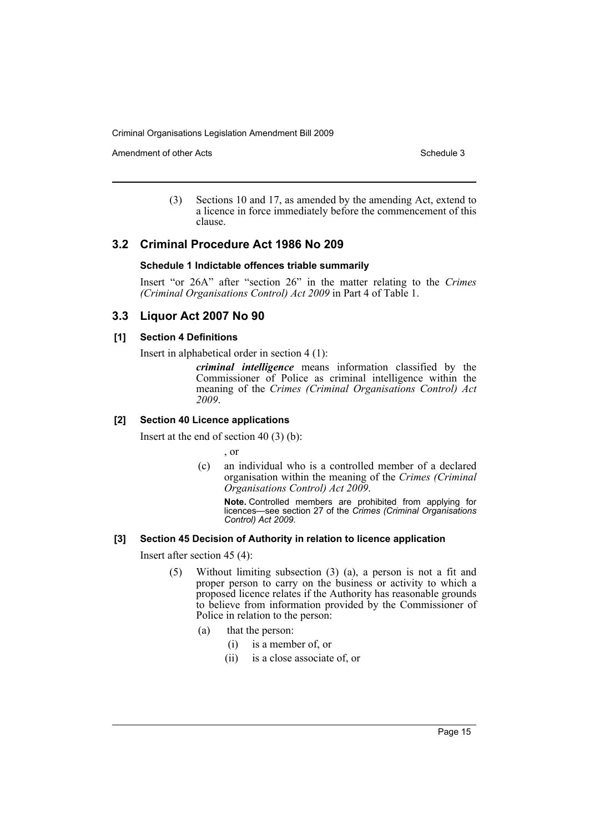Amendment of other Acts **Schedule 3** and the 3 schedule 3

(3) Sections 10 and 17, as amended by the amending Act, extend to a licence in force immediately before the commencement of this clause.

## **3.2 Criminal Procedure Act 1986 No 209**

## **Schedule 1 Indictable offences triable summarily**

Insert "or 26A" after "section 26" in the matter relating to the *Crimes (Criminal Organisations Control) Act 2009* in Part 4 of Table 1.

## **3.3 Liquor Act 2007 No 90**

## **[1] Section 4 Definitions**

Insert in alphabetical order in section 4 (1):

*criminal intelligence* means information classified by the Commissioner of Police as criminal intelligence within the meaning of the *Crimes (Criminal Organisations Control) Act 2009*.

## **[2] Section 40 Licence applications**

Insert at the end of section 40 (3) (b):

, or

(c) an individual who is a controlled member of a declared organisation within the meaning of the *Crimes (Criminal Organisations Control) Act 2009*.

**Note.** Controlled members are prohibited from applying for licences—see section 27 of the *Crimes (Criminal Organisations Control) Act 2009*.

## **[3] Section 45 Decision of Authority in relation to licence application**

Insert after section 45 (4):

- (5) Without limiting subsection (3) (a), a person is not a fit and proper person to carry on the business or activity to which a proposed licence relates if the Authority has reasonable grounds to believe from information provided by the Commissioner of Police in relation to the person:
	- (a) that the person:
		- (i) is a member of, or
		- (ii) is a close associate of, or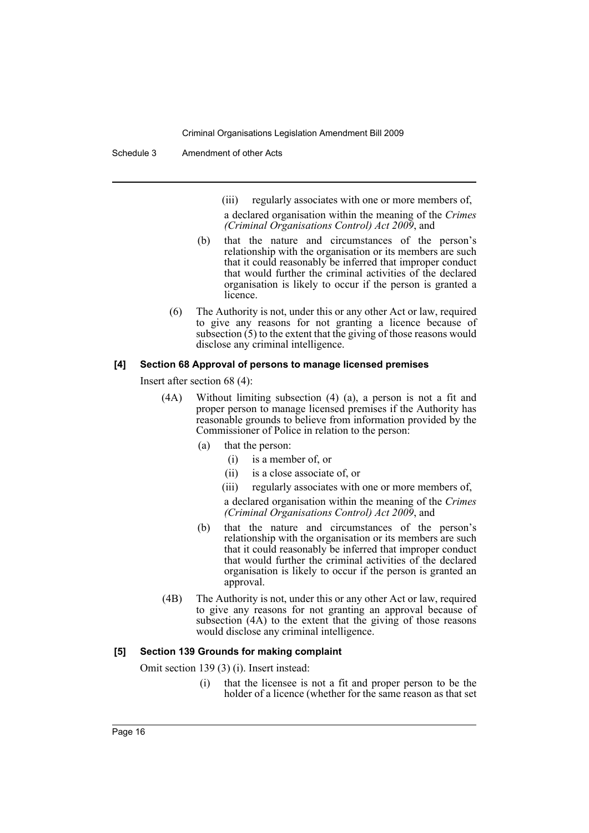(iii) regularly associates with one or more members of,

a declared organisation within the meaning of the *Crimes (Criminal Organisations Control) Act 2009*, and

- (b) that the nature and circumstances of the person's relationship with the organisation or its members are such that it could reasonably be inferred that improper conduct that would further the criminal activities of the declared organisation is likely to occur if the person is granted a licence.
- (6) The Authority is not, under this or any other Act or law, required to give any reasons for not granting a licence because of subsection (5) to the extent that the giving of those reasons would disclose any criminal intelligence.

## **[4] Section 68 Approval of persons to manage licensed premises**

Insert after section 68 (4):

- (4A) Without limiting subsection (4) (a), a person is not a fit and proper person to manage licensed premises if the Authority has reasonable grounds to believe from information provided by the Commissioner of Police in relation to the person:
	- (a) that the person:
		- (i) is a member of, or
		- (ii) is a close associate of, or
		- (iii) regularly associates with one or more members of,

a declared organisation within the meaning of the *Crimes (Criminal Organisations Control) Act 2009*, and

- (b) that the nature and circumstances of the person's relationship with the organisation or its members are such that it could reasonably be inferred that improper conduct that would further the criminal activities of the declared organisation is likely to occur if the person is granted an approval.
- (4B) The Authority is not, under this or any other Act or law, required to give any reasons for not granting an approval because of subsection (4A) to the extent that the giving of those reasons would disclose any criminal intelligence.

#### **[5] Section 139 Grounds for making complaint**

Omit section 139 (3) (i). Insert instead:

(i) that the licensee is not a fit and proper person to be the holder of a licence (whether for the same reason as that set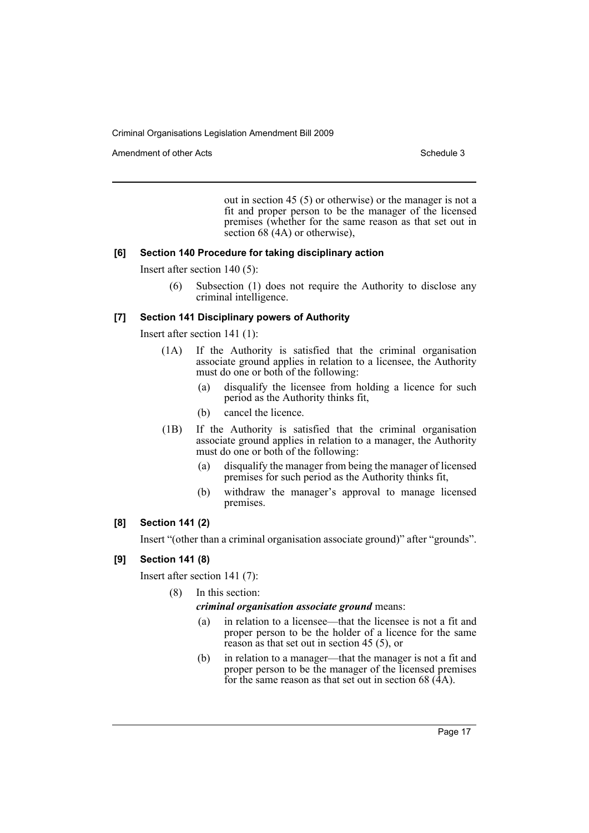Amendment of other Acts **Schedule 3** and the 3 set of the 3 set of the 3 set of the 3 set of the 3 set of the 3 set of the 3 set of the 3 set of the 3 set of the 3 set of the 3 set of the 3 set of the 3 set of the 3 set of

out in section 45 (5) or otherwise) or the manager is not a fit and proper person to be the manager of the licensed premises (whether for the same reason as that set out in section  $68$  (4A) or otherwise),

## **[6] Section 140 Procedure for taking disciplinary action**

Insert after section 140 (5):

(6) Subsection (1) does not require the Authority to disclose any criminal intelligence.

## **[7] Section 141 Disciplinary powers of Authority**

Insert after section 141 (1):

- (1A) If the Authority is satisfied that the criminal organisation associate ground applies in relation to a licensee, the Authority must do one or both of the following:
	- (a) disqualify the licensee from holding a licence for such period as the Authority thinks fit,
	- (b) cancel the licence.
- (1B) If the Authority is satisfied that the criminal organisation associate ground applies in relation to a manager, the Authority must do one or both of the following:
	- (a) disqualify the manager from being the manager of licensed premises for such period as the Authority thinks fit,
	- (b) withdraw the manager's approval to manage licensed premises.

## **[8] Section 141 (2)**

Insert "(other than a criminal organisation associate ground)" after "grounds".

## **[9] Section 141 (8)**

Insert after section 141 (7):

(8) In this section:

## *criminal organisation associate ground* means:

- (a) in relation to a licensee—that the licensee is not a fit and proper person to be the holder of a licence for the same reason as that set out in section 45 (5), or
- (b) in relation to a manager—that the manager is not a fit and proper person to be the manager of the licensed premises for the same reason as that set out in section 68  $(\hat{4}A)$ .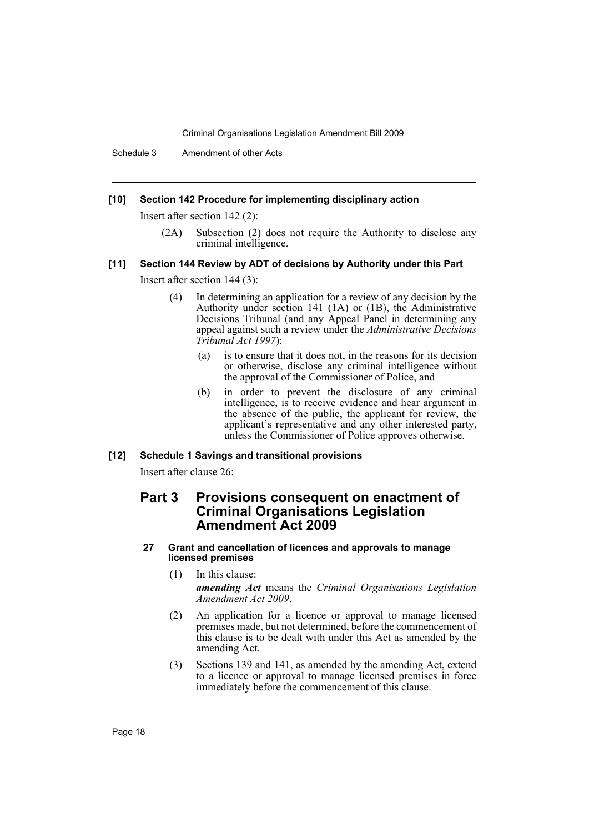Schedule 3 Amendment of other Acts

## **[10] Section 142 Procedure for implementing disciplinary action**

Insert after section 142 (2):

(2A) Subsection (2) does not require the Authority to disclose any criminal intelligence.

#### **[11] Section 144 Review by ADT of decisions by Authority under this Part**

Insert after section 144 (3):

- (4) In determining an application for a review of any decision by the Authority under section 141 (1A) or (1B), the Administrative Decisions Tribunal (and any Appeal Panel in determining any appeal against such a review under the *Administrative Decisions Tribunal Act 1997*):
	- (a) is to ensure that it does not, in the reasons for its decision or otherwise, disclose any criminal intelligence without the approval of the Commissioner of Police, and
	- (b) in order to prevent the disclosure of any criminal intelligence, is to receive evidence and hear argument in the absence of the public, the applicant for review, the applicant's representative and any other interested party, unless the Commissioner of Police approves otherwise.

#### **[12] Schedule 1 Savings and transitional provisions**

Insert after clause 26:

## **Part 3 Provisions consequent on enactment of Criminal Organisations Legislation Amendment Act 2009**

#### **27 Grant and cancellation of licences and approvals to manage licensed premises**

- (1) In this clause: *amending Act* means the *Criminal Organisations Legislation Amendment Act 2009*.
- (2) An application for a licence or approval to manage licensed premises made, but not determined, before the commencement of this clause is to be dealt with under this Act as amended by the amending Act.
- (3) Sections 139 and 141, as amended by the amending Act, extend to a licence or approval to manage licensed premises in force immediately before the commencement of this clause.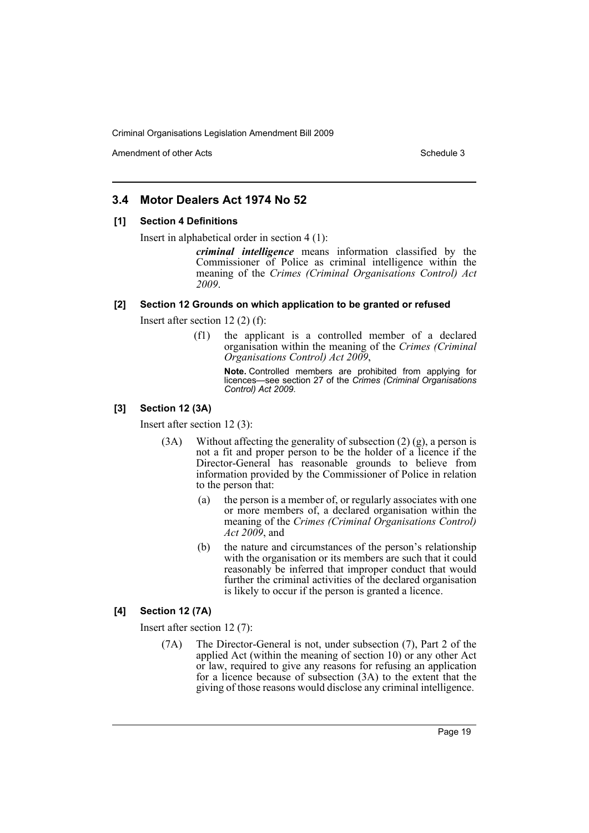Amendment of other Acts **Schedule 3** and the 3 schedule 3

## **3.4 Motor Dealers Act 1974 No 52**

#### **[1] Section 4 Definitions**

Insert in alphabetical order in section 4 (1):

*criminal intelligence* means information classified by the Commissioner of Police as criminal intelligence within the meaning of the *Crimes (Criminal Organisations Control) Act 2009*.

## **[2] Section 12 Grounds on which application to be granted or refused**

Insert after section 12 (2) (f):

(f1) the applicant is a controlled member of a declared organisation within the meaning of the *Crimes (Criminal Organisations Control) Act 2009*,

> **Note.** Controlled members are prohibited from applying for licences—see section 27 of the *Crimes (Criminal Organisations Control) Act 2009*.

## **[3] Section 12 (3A)**

Insert after section 12 (3):

- (3A) Without affecting the generality of subsection  $(2)$  (g), a person is not a fit and proper person to be the holder of a licence if the Director-General has reasonable grounds to believe from information provided by the Commissioner of Police in relation to the person that:
	- (a) the person is a member of, or regularly associates with one or more members of, a declared organisation within the meaning of the *Crimes (Criminal Organisations Control) Act 2009*, and
	- (b) the nature and circumstances of the person's relationship with the organisation or its members are such that it could reasonably be inferred that improper conduct that would further the criminal activities of the declared organisation is likely to occur if the person is granted a licence.

## **[4] Section 12 (7A)**

Insert after section 12 (7):

(7A) The Director-General is not, under subsection (7), Part 2 of the applied Act (within the meaning of section 10) or any other Act or law, required to give any reasons for refusing an application for a licence because of subsection (3A) to the extent that the giving of those reasons would disclose any criminal intelligence.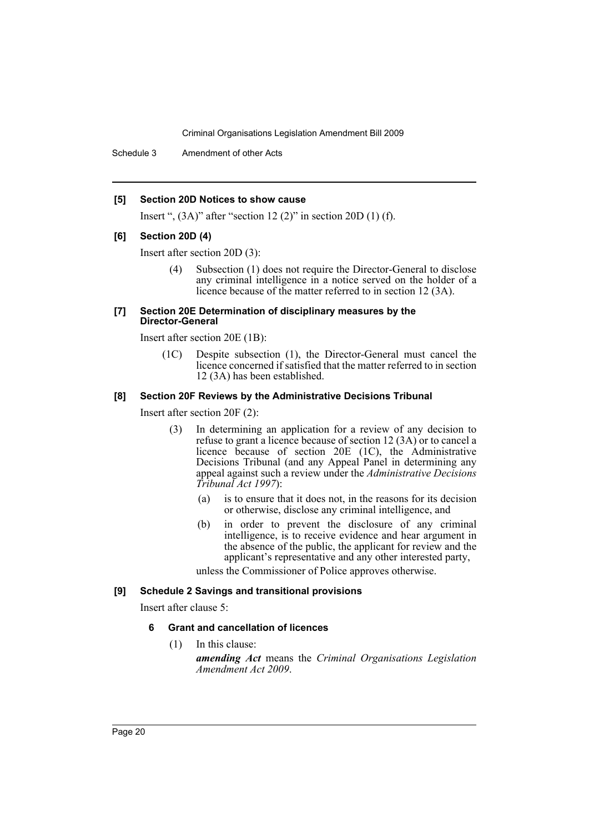Schedule 3 Amendment of other Acts

#### **[5] Section 20D Notices to show cause**

Insert ",  $(3A)$ " after "section 12 $(2)$ " in section 20D $(1)$  $(f)$ .

#### **[6] Section 20D (4)**

Insert after section 20D (3):

(4) Subsection (1) does not require the Director-General to disclose any criminal intelligence in a notice served on the holder of a licence because of the matter referred to in section 12 (3A).

#### **[7] Section 20E Determination of disciplinary measures by the Director-General**

Insert after section 20E (1B):

(1C) Despite subsection (1), the Director-General must cancel the licence concerned if satisfied that the matter referred to in section 12 (3A) has been established.

## **[8] Section 20F Reviews by the Administrative Decisions Tribunal**

Insert after section 20F (2):

- (3) In determining an application for a review of any decision to refuse to grant a licence because of section 12 (3A) or to cancel a licence because of section 20E (1C), the Administrative Decisions Tribunal (and any Appeal Panel in determining any appeal against such a review under the *Administrative Decisions Tribunal Act 1997*):
	- (a) is to ensure that it does not, in the reasons for its decision or otherwise, disclose any criminal intelligence, and
	- (b) in order to prevent the disclosure of any criminal intelligence, is to receive evidence and hear argument in the absence of the public, the applicant for review and the applicant's representative and any other interested party,

unless the Commissioner of Police approves otherwise.

#### **[9] Schedule 2 Savings and transitional provisions**

Insert after clause 5:

## **6 Grant and cancellation of licences**

(1) In this clause:

*amending Act* means the *Criminal Organisations Legislation Amendment Act 2009*.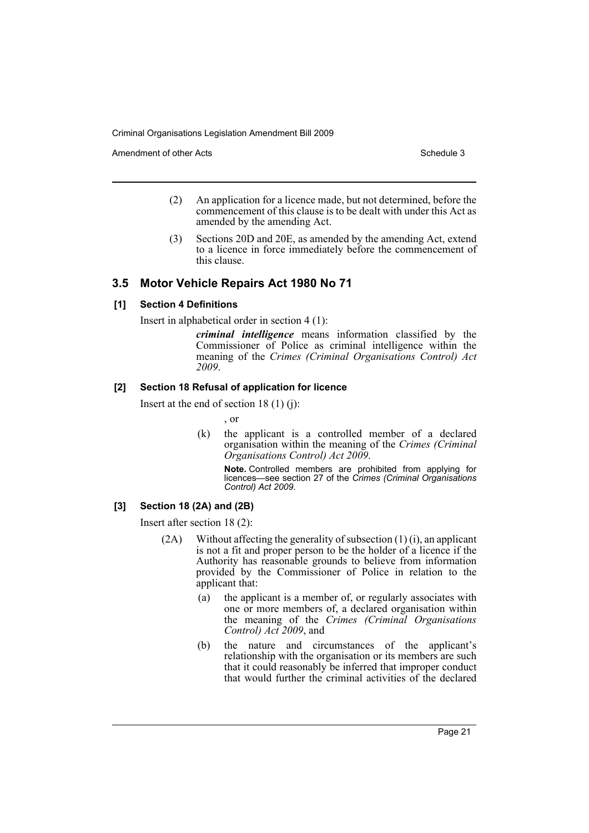Amendment of other Acts **Schedule 3** and the 3 schedule 3

- (2) An application for a licence made, but not determined, before the commencement of this clause is to be dealt with under this Act as amended by the amending Act.
- (3) Sections 20D and 20E, as amended by the amending Act, extend to a licence in force immediately before the commencement of this clause.

## **3.5 Motor Vehicle Repairs Act 1980 No 71**

## **[1] Section 4 Definitions**

Insert in alphabetical order in section 4 (1):

*criminal intelligence* means information classified by the Commissioner of Police as criminal intelligence within the meaning of the *Crimes (Criminal Organisations Control) Act 2009*.

## **[2] Section 18 Refusal of application for licence**

Insert at the end of section  $18(1)(i)$ :

, or

(k) the applicant is a controlled member of a declared organisation within the meaning of the *Crimes (Criminal Organisations Control) Act 2009*.

**Note.** Controlled members are prohibited from applying for licences—see section 27 of the *Crimes (Criminal Organisations Control) Act 2009*.

## **[3] Section 18 (2A) and (2B)**

Insert after section 18 (2):

- (2A) Without affecting the generality of subsection (1) (i), an applicant is not a fit and proper person to be the holder of a licence if the Authority has reasonable grounds to believe from information provided by the Commissioner of Police in relation to the applicant that:
	- (a) the applicant is a member of, or regularly associates with one or more members of, a declared organisation within the meaning of the *Crimes (Criminal Organisations Control) Act 2009*, and
	- (b) the nature and circumstances of the applicant's relationship with the organisation or its members are such that it could reasonably be inferred that improper conduct that would further the criminal activities of the declared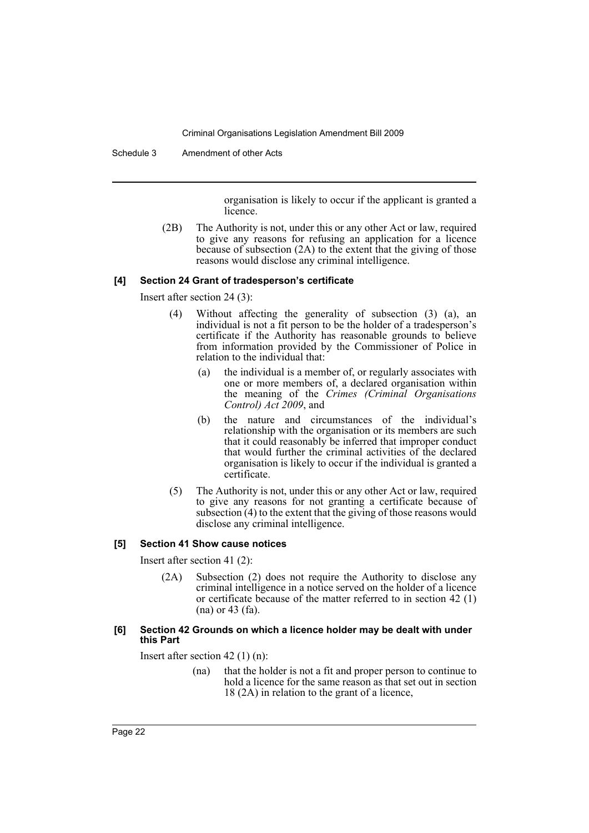Schedule 3 Amendment of other Acts

organisation is likely to occur if the applicant is granted a licence.

(2B) The Authority is not, under this or any other Act or law, required to give any reasons for refusing an application for a licence because of subsection (2A) to the extent that the giving of those reasons would disclose any criminal intelligence.

## **[4] Section 24 Grant of tradesperson's certificate**

Insert after section 24 (3):

- (4) Without affecting the generality of subsection (3) (a), an individual is not a fit person to be the holder of a tradesperson's certificate if the Authority has reasonable grounds to believe from information provided by the Commissioner of Police in relation to the individual that:
	- (a) the individual is a member of, or regularly associates with one or more members of, a declared organisation within the meaning of the *Crimes (Criminal Organisations Control) Act 2009*, and
	- (b) the nature and circumstances of the individual's relationship with the organisation or its members are such that it could reasonably be inferred that improper conduct that would further the criminal activities of the declared organisation is likely to occur if the individual is granted a certificate.
- (5) The Authority is not, under this or any other Act or law, required to give any reasons for not granting a certificate because of subsection (4) to the extent that the giving of those reasons would disclose any criminal intelligence.

## **[5] Section 41 Show cause notices**

Insert after section 41 (2):

(2A) Subsection (2) does not require the Authority to disclose any criminal intelligence in a notice served on the holder of a licence or certificate because of the matter referred to in section 42 (1) (na) or 43 (fa).

## **[6] Section 42 Grounds on which a licence holder may be dealt with under this Part**

Insert after section 42 (1) (n):

(na) that the holder is not a fit and proper person to continue to hold a licence for the same reason as that set out in section 18 (2A) in relation to the grant of a licence,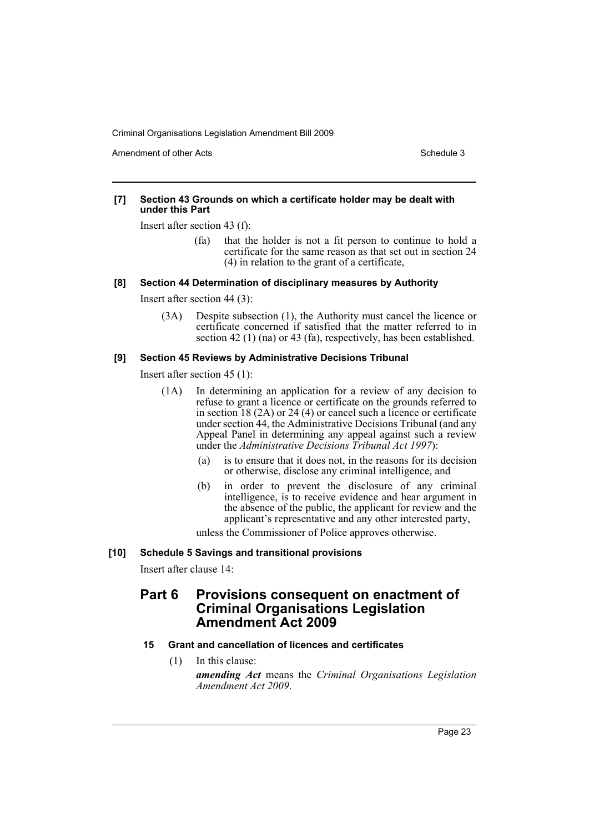Amendment of other Acts **Schedule 3** and the 3 schedule 3

#### **[7] Section 43 Grounds on which a certificate holder may be dealt with under this Part**

Insert after section 43 (f):

(fa) that the holder is not a fit person to continue to hold a certificate for the same reason as that set out in section 24 (4) in relation to the grant of a certificate,

## **[8] Section 44 Determination of disciplinary measures by Authority**

Insert after section 44 (3):

(3A) Despite subsection (1), the Authority must cancel the licence or certificate concerned if satisfied that the matter referred to in section 42 (1) (na) or 43 (fa), respectively, has been established.

## **[9] Section 45 Reviews by Administrative Decisions Tribunal**

Insert after section 45 (1):

- (1A) In determining an application for a review of any decision to refuse to grant a licence or certificate on the grounds referred to in section 18 (2A) or 24 (4) or cancel such a licence or certificate under section 44, the Administrative Decisions Tribunal (and any Appeal Panel in determining any appeal against such a review under the *Administrative Decisions Tribunal Act 1997*):
	- (a) is to ensure that it does not, in the reasons for its decision or otherwise, disclose any criminal intelligence, and
	- (b) in order to prevent the disclosure of any criminal intelligence, is to receive evidence and hear argument in the absence of the public, the applicant for review and the applicant's representative and any other interested party,

unless the Commissioner of Police approves otherwise.

## **[10] Schedule 5 Savings and transitional provisions**

Insert after clause 14:

# **Part 6 Provisions consequent on enactment of Criminal Organisations Legislation Amendment Act 2009**

## **15 Grant and cancellation of licences and certificates**

(1) In this clause:

*amending Act* means the *Criminal Organisations Legislation Amendment Act 2009*.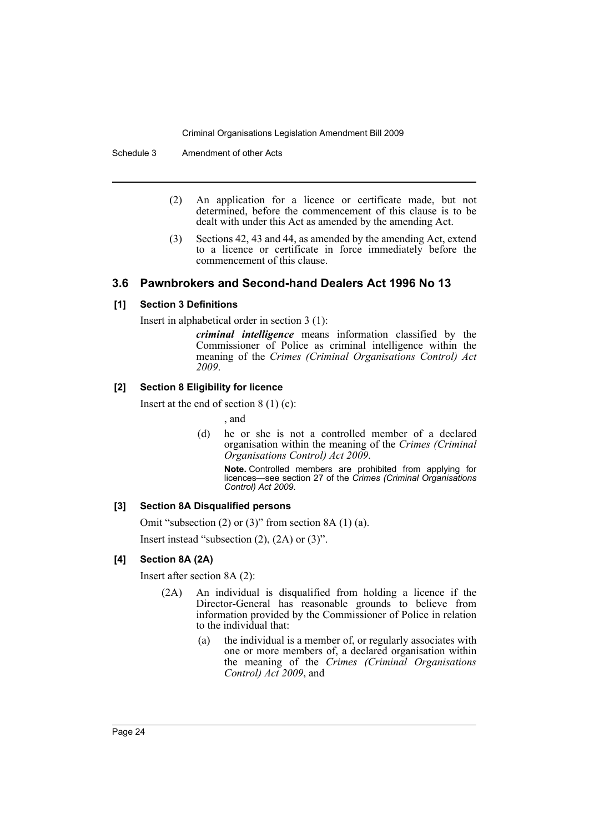Schedule 3 Amendment of other Acts

- (2) An application for a licence or certificate made, but not determined, before the commencement of this clause is to be dealt with under this Act as amended by the amending Act.
- (3) Sections 42, 43 and 44, as amended by the amending Act, extend to a licence or certificate in force immediately before the commencement of this clause.

## **3.6 Pawnbrokers and Second-hand Dealers Act 1996 No 13**

## **[1] Section 3 Definitions**

Insert in alphabetical order in section 3 (1):

*criminal intelligence* means information classified by the Commissioner of Police as criminal intelligence within the meaning of the *Crimes (Criminal Organisations Control) Act 2009*.

## **[2] Section 8 Eligibility for licence**

Insert at the end of section  $8(1)(c)$ :

, and

(d) he or she is not a controlled member of a declared organisation within the meaning of the *Crimes (Criminal Organisations Control) Act 2009*.

**Note.** Controlled members are prohibited from applying for licences—see section 27 of the *Crimes (Criminal Organisations Control) Act 2009*.

## **[3] Section 8A Disqualified persons**

Omit "subsection  $(2)$  or  $(3)$ " from section 8A  $(1)$   $(a)$ .

Insert instead "subsection (2), (2A) or (3)".

## **[4] Section 8A (2A)**

Insert after section 8A (2):

- (2A) An individual is disqualified from holding a licence if the Director-General has reasonable grounds to believe from information provided by the Commissioner of Police in relation to the individual that:
	- (a) the individual is a member of, or regularly associates with one or more members of, a declared organisation within the meaning of the *Crimes (Criminal Organisations Control) Act 2009*, and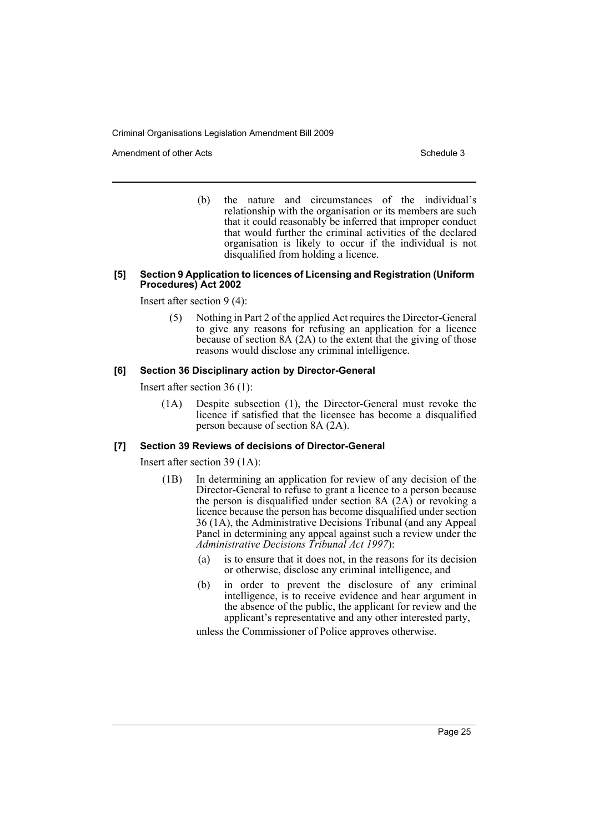Amendment of other Acts **Schedule 3** and the 3 schedule 3

(b) the nature and circumstances of the individual's relationship with the organisation or its members are such that it could reasonably be inferred that improper conduct that would further the criminal activities of the declared organisation is likely to occur if the individual is not disqualified from holding a licence.

#### **[5] Section 9 Application to licences of Licensing and Registration (Uniform Procedures) Act 2002**

Insert after section 9 (4):

(5) Nothing in Part 2 of the applied Act requires the Director-General to give any reasons for refusing an application for a licence because of section 8A (2A) to the extent that the giving of those reasons would disclose any criminal intelligence.

## **[6] Section 36 Disciplinary action by Director-General**

Insert after section 36 (1):

(1A) Despite subsection (1), the Director-General must revoke the licence if satisfied that the licensee has become a disqualified person because of section 8A (2A).

## **[7] Section 39 Reviews of decisions of Director-General**

Insert after section 39 (1A):

- (1B) In determining an application for review of any decision of the Director-General to refuse to grant a licence to a person because the person is disqualified under section 8A (2A) or revoking a licence because the person has become disqualified under section 36 (1A), the Administrative Decisions Tribunal (and any Appeal Panel in determining any appeal against such a review under the *Administrative Decisions Tribunal Act 1997*):
	- (a) is to ensure that it does not, in the reasons for its decision or otherwise, disclose any criminal intelligence, and
	- (b) in order to prevent the disclosure of any criminal intelligence, is to receive evidence and hear argument in the absence of the public, the applicant for review and the applicant's representative and any other interested party,

unless the Commissioner of Police approves otherwise.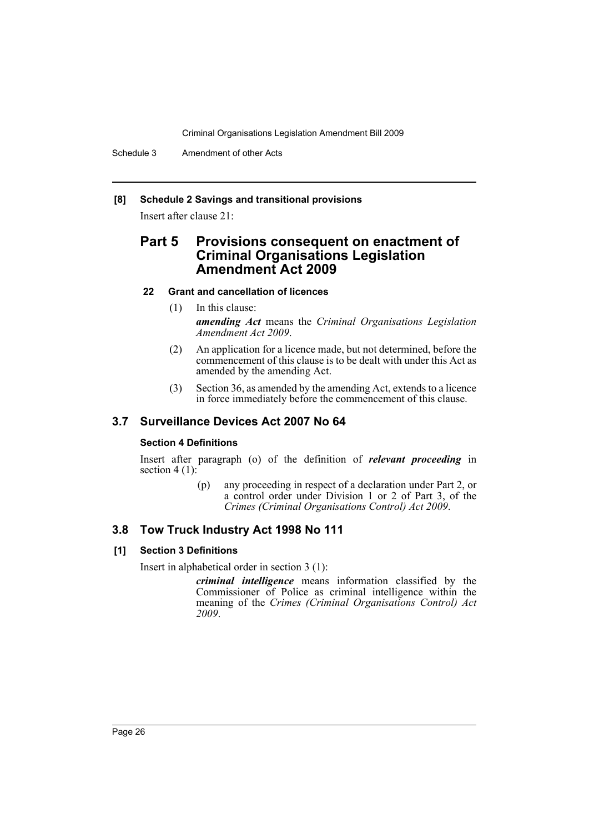Schedule 3 Amendment of other Acts

## **[8] Schedule 2 Savings and transitional provisions**

Insert after clause 21:

# **Part 5 Provisions consequent on enactment of Criminal Organisations Legislation Amendment Act 2009**

## **22 Grant and cancellation of licences**

- (1) In this clause: *amending Act* means the *Criminal Organisations Legislation Amendment Act 2009*.
- (2) An application for a licence made, but not determined, before the commencement of this clause is to be dealt with under this Act as amended by the amending Act.
- (3) Section 36, as amended by the amending Act, extends to a licence in force immediately before the commencement of this clause.

## **3.7 Surveillance Devices Act 2007 No 64**

## **Section 4 Definitions**

Insert after paragraph (o) of the definition of *relevant proceeding* in section  $4(1)$ :

> (p) any proceeding in respect of a declaration under Part 2, or a control order under Division 1 or 2 of Part 3, of the *Crimes (Criminal Organisations Control) Act 2009*.

## **3.8 Tow Truck Industry Act 1998 No 111**

## **[1] Section 3 Definitions**

Insert in alphabetical order in section 3 (1):

*criminal intelligence* means information classified by the Commissioner of Police as criminal intelligence within the meaning of the *Crimes (Criminal Organisations Control) Act 2009*.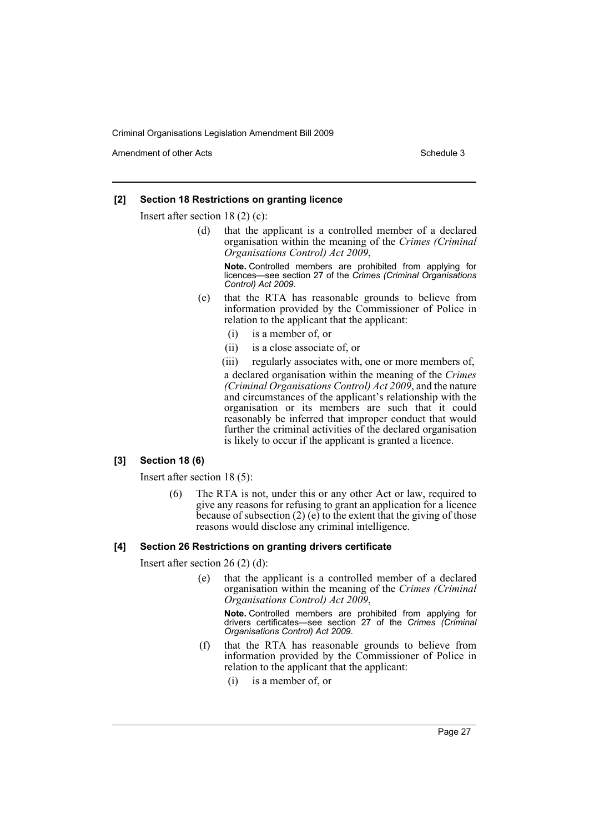Amendment of other Acts **Schedule 3** and the 3 schedule 3

## **[2] Section 18 Restrictions on granting licence**

Insert after section 18 (2) (c):

(d) that the applicant is a controlled member of a declared organisation within the meaning of the *Crimes (Criminal Organisations Control) Act 2009*,

**Note.** Controlled members are prohibited from applying for licences—see section 27 of the *Crimes (Criminal Organisations Control) Act 2009*.

- (e) that the RTA has reasonable grounds to believe from information provided by the Commissioner of Police in relation to the applicant that the applicant:
	- (i) is a member of, or
	- (ii) is a close associate of, or

(iii) regularly associates with, one or more members of,

a declared organisation within the meaning of the *Crimes (Criminal Organisations Control) Act 2009*, and the nature and circumstances of the applicant's relationship with the organisation or its members are such that it could reasonably be inferred that improper conduct that would further the criminal activities of the declared organisation is likely to occur if the applicant is granted a licence.

## **[3] Section 18 (6)**

Insert after section 18 (5):

(6) The RTA is not, under this or any other Act or law, required to give any reasons for refusing to grant an application for a licence because of subsection  $(2)$  (e) to the extent that the giving of those reasons would disclose any criminal intelligence.

## **[4] Section 26 Restrictions on granting drivers certificate**

Insert after section 26 (2) (d):

(e) that the applicant is a controlled member of a declared organisation within the meaning of the *Crimes (Criminal Organisations Control) Act 2009*,

**Note.** Controlled members are prohibited from applying for drivers certificates—see section 27 of the *Crimes (Criminal Organisations Control) Act 2009*.

- (f) that the RTA has reasonable grounds to believe from information provided by the Commissioner of Police in relation to the applicant that the applicant:
	- (i) is a member of, or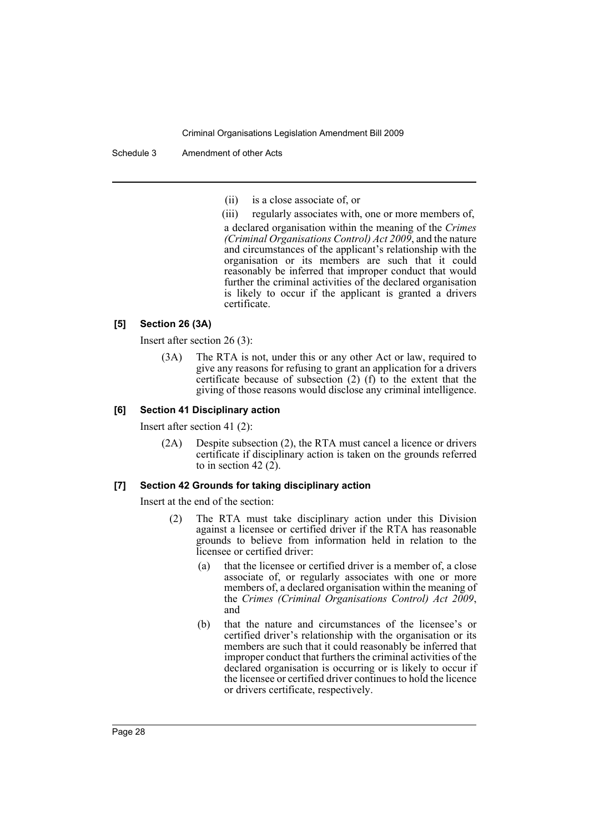(ii) is a close associate of, or

(iii) regularly associates with, one or more members of, a declared organisation within the meaning of the *Crimes (Criminal Organisations Control) Act 2009*, and the nature and circumstances of the applicant's relationship with the organisation or its members are such that it could reasonably be inferred that improper conduct that would further the criminal activities of the declared organisation is likely to occur if the applicant is granted a drivers certificate.

## **[5] Section 26 (3A)**

Insert after section 26 (3):

(3A) The RTA is not, under this or any other Act or law, required to give any reasons for refusing to grant an application for a drivers certificate because of subsection (2) (f) to the extent that the giving of those reasons would disclose any criminal intelligence.

#### **[6] Section 41 Disciplinary action**

Insert after section 41 (2):

(2A) Despite subsection (2), the RTA must cancel a licence or drivers certificate if disciplinary action is taken on the grounds referred to in section 42 (2).

#### **[7] Section 42 Grounds for taking disciplinary action**

Insert at the end of the section:

- The RTA must take disciplinary action under this Division against a licensee or certified driver if the RTA has reasonable grounds to believe from information held in relation to the licensee or certified driver:
	- (a) that the licensee or certified driver is a member of, a close associate of, or regularly associates with one or more members of, a declared organisation within the meaning of the *Crimes (Criminal Organisations Control) Act 2009*, and
	- (b) that the nature and circumstances of the licensee's or certified driver's relationship with the organisation or its members are such that it could reasonably be inferred that improper conduct that furthers the criminal activities of the declared organisation is occurring or is likely to occur if the licensee or certified driver continues to hold the licence or drivers certificate, respectively.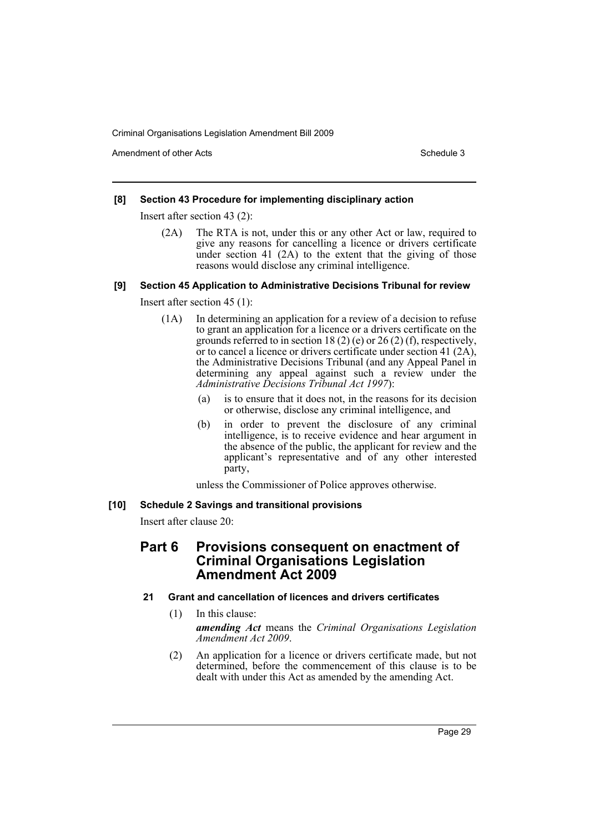Amendment of other Acts **Schedule 3** and the 3 schedule 3

## **[8] Section 43 Procedure for implementing disciplinary action**

Insert after section 43 (2):

(2A) The RTA is not, under this or any other Act or law, required to give any reasons for cancelling a licence or drivers certificate under section 41 (2A) to the extent that the giving of those reasons would disclose any criminal intelligence.

## **[9] Section 45 Application to Administrative Decisions Tribunal for review**

Insert after section 45 (1):

- (1A) In determining an application for a review of a decision to refuse to grant an application for a licence or a drivers certificate on the grounds referred to in section 18 (2) (e) or 26 (2) (f), respectively, or to cancel a licence or drivers certificate under section 41 (2A), the Administrative Decisions Tribunal (and any Appeal Panel in determining any appeal against such a review under the *Administrative Decisions Tribunal Act 1997*):
	- is to ensure that it does not, in the reasons for its decision or otherwise, disclose any criminal intelligence, and
	- (b) in order to prevent the disclosure of any criminal intelligence, is to receive evidence and hear argument in the absence of the public, the applicant for review and the applicant's representative and of any other interested party,

unless the Commissioner of Police approves otherwise.

## **[10] Schedule 2 Savings and transitional provisions**

Insert after clause 20:

# **Part 6 Provisions consequent on enactment of Criminal Organisations Legislation Amendment Act 2009**

## **21 Grant and cancellation of licences and drivers certificates**

(1) In this clause:

*amending Act* means the *Criminal Organisations Legislation Amendment Act 2009*.

(2) An application for a licence or drivers certificate made, but not determined, before the commencement of this clause is to be dealt with under this Act as amended by the amending Act.